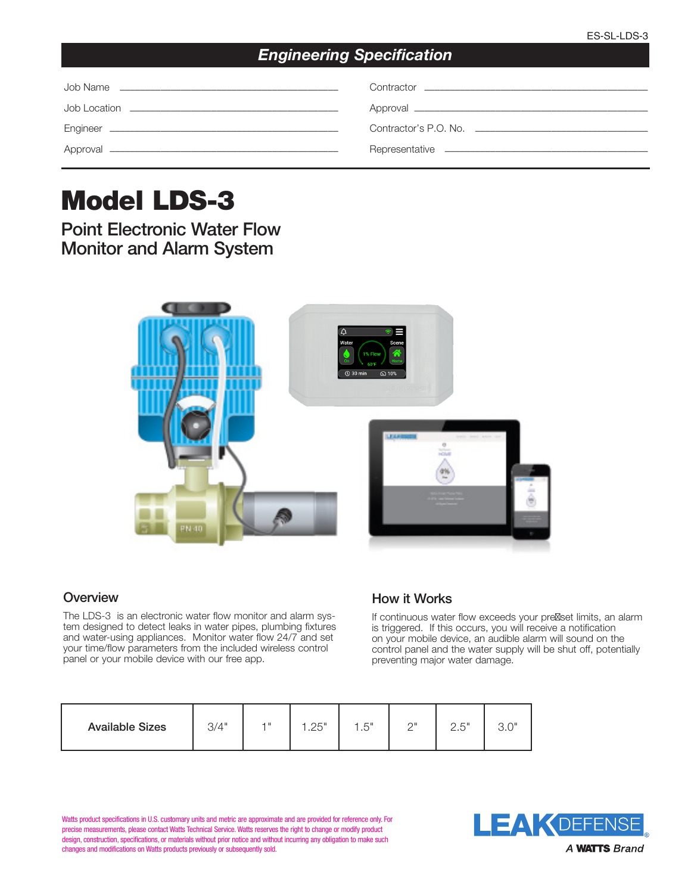## *Engineering Specification*

| Contractor Contractor Contractor Contractor Contractor Contractor Contractor Contractor Contractor Contractor |
|---------------------------------------------------------------------------------------------------------------|
|                                                                                                               |
|                                                                                                               |
|                                                                                                               |

# Model LDS-3

Point Electronic Water Flow Monitor and Alarm System



#### **Overview**

The LDS-3 is an electronic water flow monitor and alarm system designed to detect leaks in water pipes, plumbing fixtures and water-using appliances. Monitor water flow 24/7 and set your time/flow parameters from the included wireless control panel or your mobile device with our free app.

### How it Works

If continuous water flow exceeds your pre set limits, an alarm is triggered. If this occurs, you will receive a notification on your mobile device, an audible alarm will sound on the control panel and the water supply will be shut off, potentially preventing major water damage.

| <b>Available Sizes</b> | 3/4" | 4 H | つに "<br>ت∠. | 1 <sub>E</sub><br>ں . | $\cap$ | つ に‼<br>ے،ے | יות ה<br>U.U |
|------------------------|------|-----|-------------|-----------------------|--------|-------------|--------------|
|------------------------|------|-----|-------------|-----------------------|--------|-------------|--------------|

Watts product specifications in U.S. customary units and metric are approximate and are provided for reference only. For precise measurements, please contact Watts Technical Service. Watts reserves the right to change or modify product design, construction, specifications, or materials without prior notice and without incurring any obligation to make such changes and modifications on Watts products previously or subsequently sold.